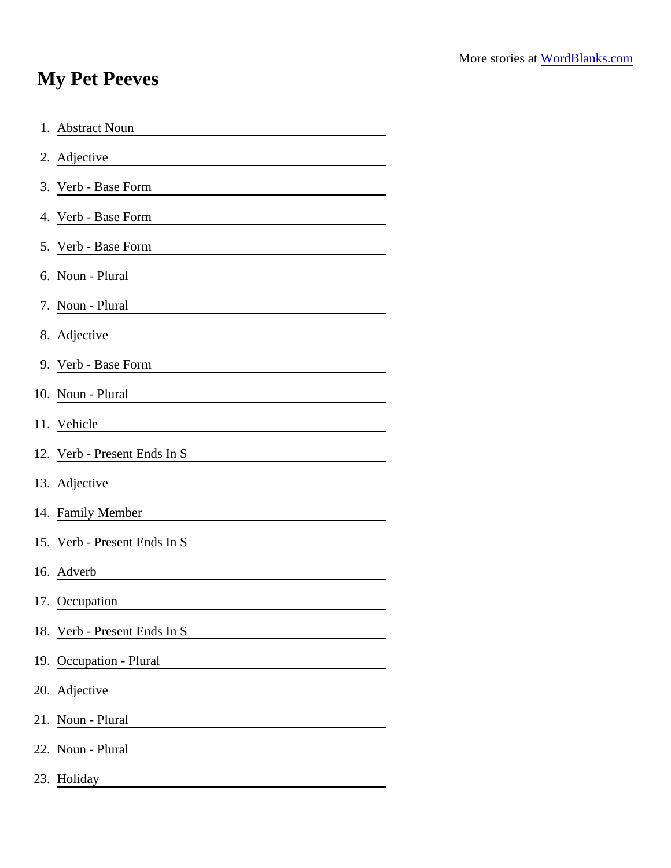## My Pet Peeves

| 1. Abstract Noun                                                                                                                          |
|-------------------------------------------------------------------------------------------------------------------------------------------|
| 2. Adjective                                                                                                                              |
| 3. Verb - Base Form                                                                                                                       |
| 4. Verb - Base Form                                                                                                                       |
| 5. Verb - Base Form                                                                                                                       |
| 6. Noun - Plural                                                                                                                          |
| 7. Noun - Plural                                                                                                                          |
| 8. Adjective                                                                                                                              |
| 9. Verb - Base Form                                                                                                                       |
| 10. Noun - Plural                                                                                                                         |
| 11. Vehicle                                                                                                                               |
| 12. Verb - Present Ends In S                                                                                                              |
| 13. Adjective                                                                                                                             |
| 14. Family Member                                                                                                                         |
| 15. Verb - Present Ends In S                                                                                                              |
| 16. Adverb                                                                                                                                |
| 17. Occupation                                                                                                                            |
| 18. Verb - Present Ends In S                                                                                                              |
| 19. Occupation - Plural                                                                                                                   |
| 20. Adjective                                                                                                                             |
| 21. Noun - Plural                                                                                                                         |
| 22. Noun - Plural<br><u> 1980 - Jan Stein Stein Stein Stein Stein Stein Stein Stein Stein Stein Stein Stein Stein Stein Stein Stein S</u> |
| 23. Holiday                                                                                                                               |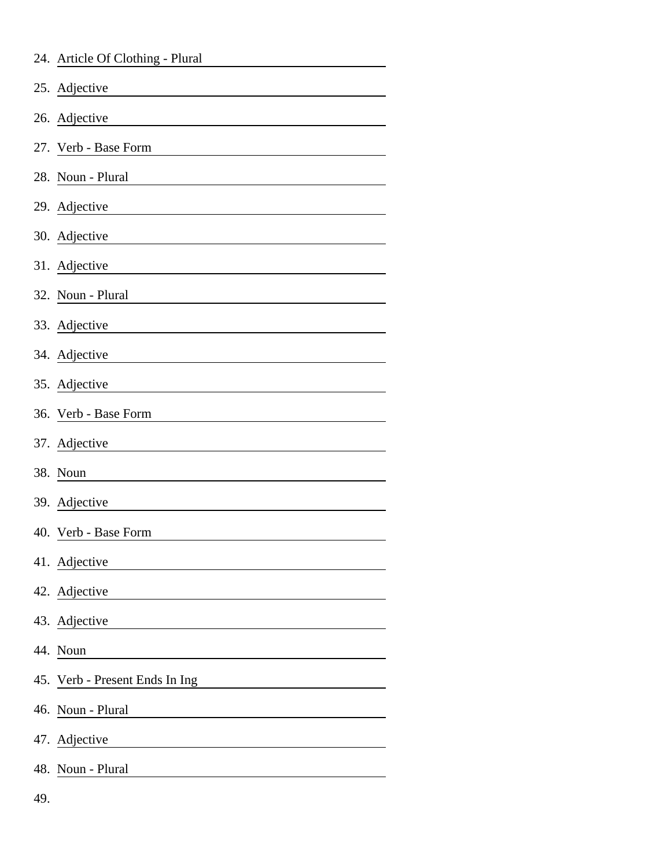|     | 24. Article Of Clothing - Plural |
|-----|----------------------------------|
|     | 25. Adjective                    |
|     | 26. Adjective                    |
|     | 27. Verb - Base Form             |
| 28. | Noun - Plural                    |
|     | 29. Adjective                    |
|     | 30. Adjective                    |
|     | 31. Adjective                    |
|     | 32. Noun - Plural                |
|     | 33. Adjective                    |
|     | 34. Adjective                    |
|     | 35. Adjective                    |
|     | 36. Verb - Base Form             |
|     | 37. Adjective                    |
|     | 38. Noun                         |
|     | 39. Adjective                    |
|     | 40. Verb - Base Form             |
|     | 41. Adjective                    |
|     | 42. Adjective                    |
|     | 43. Adjective                    |
|     | 44. Noun                         |
|     | 45. Verb - Present Ends In Ing   |
|     | 46. Noun - Plural                |
|     | 47. Adjective                    |
| 48. | Noun - Plural                    |
| 49. |                                  |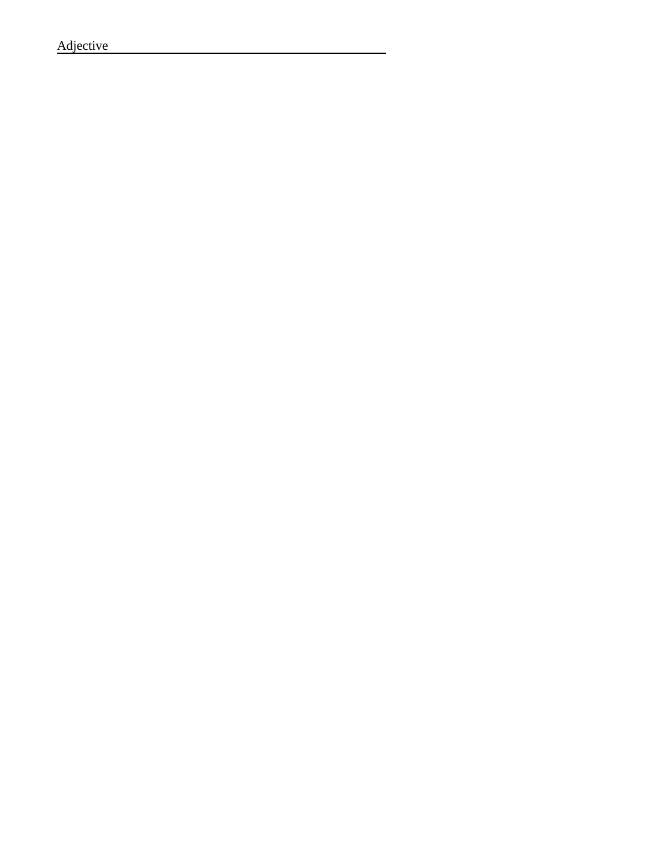Adjective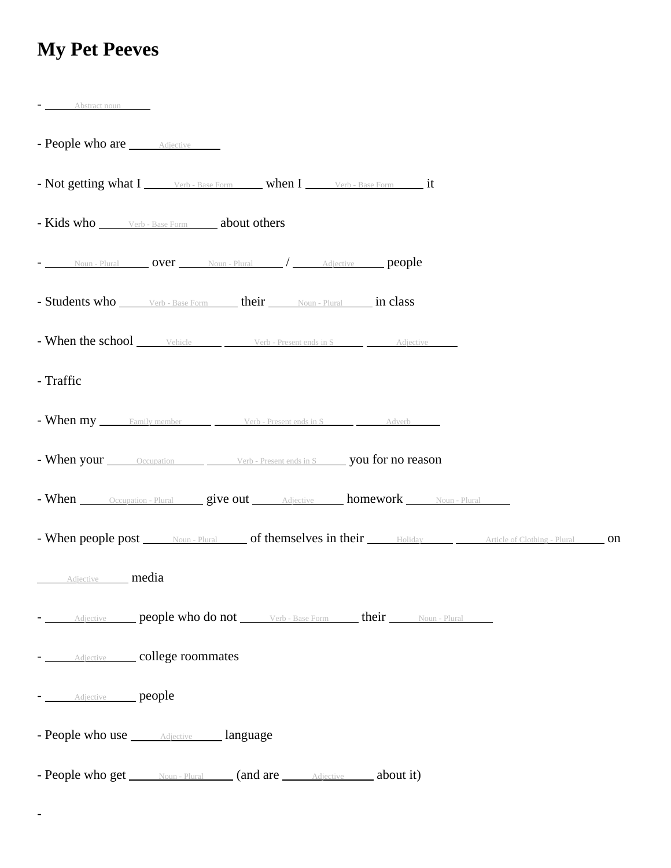## **My Pet Peeves**

| $-$ Abstract noun                                                                                                      |
|------------------------------------------------------------------------------------------------------------------------|
| - People who are <i>Adjective</i>                                                                                      |
| - Not getting what I _______ verb - Base Form ______ when I ________ verb - Base Form ________ it                      |
| - Kids who Werb - Base Form about others                                                                               |
| - Noun-Plural <b>OVer</b> Noun-Plural / Adjective <b>people</b>                                                        |
| - Students who <b>Students</b> who <b>Students</b> Werb - Base Form <b>their http://</b> Noun - Plural <b>in class</b> |
| - When the school vehicle verb-Present ends in S Adjective                                                             |
| - Traffic                                                                                                              |
| - When my Family member Verb - Present ends in S Adverb                                                                |
| - When your <u>Cocupation Verb-Present ends in Sylvers</u> you for no reason                                           |
| - When Occupation - Plural give out Adjective homework Noun - Plural                                                   |
| - When people post Noun - Plural of themselves in their Holiday Article of Clothing - Plural on                        |
| Adjective <b>media</b>                                                                                                 |
| - Adjective people who do not Verb - Base Form their Noun - Plural                                                     |
| - <b>Adjective</b> college roommates                                                                                   |
| - Adjective people                                                                                                     |
| - People who use <u>Adjective Language</u>                                                                             |
| - People who get Noun-Plural (and are Adjective about it)                                                              |